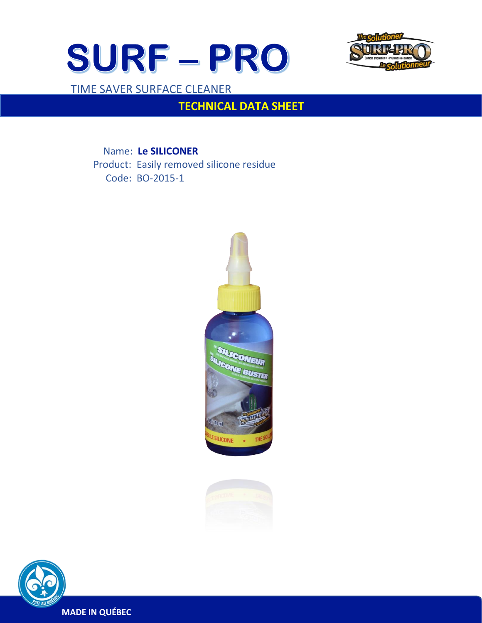



## TIME SAVER SURFACE CLEANER

 $\overline{a}$ 

# **TECHNICAL DATA SHEET**

 Name: **Le SILICONER** Product: Easily removed silicone residue Code: BO-2015-1





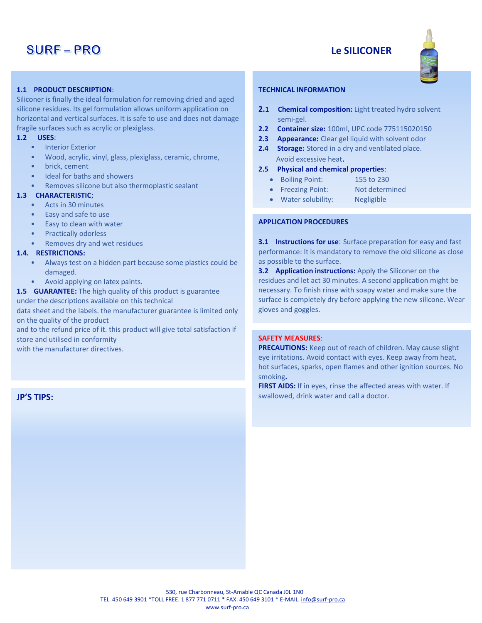## **SURF-PRO**

### **Le SILICONER**



#### **1.1 PRODUCT DESCRIPTION**:

Siliconer is finally the ideal formulation for removing dried and aged silicone residues. Its gel formulation allows uniform application on horizontal and vertical surfaces. It is safe to use and does not damage fragile surfaces such as acrylic or plexiglass.

#### **1.2 USES**:

- **Interior Exterior**
- Wood, acrylic, vinyl, glass, plexiglass, ceramic, chrome,
- brick, cement
- Ideal for baths and showers
- Removes silicone but also thermoplastic sealant

#### **1.3 CHARACTERISTIC**;

- Acts in 30 minutes
- Easy and safe to use
- Easy to clean with water
- Practically odorless
- Removes dry and wet residues

#### **1.4. RESTRICTIONS:**

- Always test on a hidden part because some plastics could be damaged.
- Avoid applying on latex paints.
- **1.5 GUARANTEE:** The high quality of this product is guarantee under the descriptions available on this technical

data sheet and the labels. the manufacturer guarantee is limited only on the quality of the product

and to the refund price of it. this product will give total satisfaction if store and utilised in conformity

with the manufacturer directives.

#### **JP'S TIPS:**

#### **TECHNICAL INFORMATION**

- **2.1 Chemical composition:** Light treated hydro solvent semi-gel.
- **2.2 Container size:** 100ml, UPC code 775115020150
- **2.3 Appearance:** Clear gel liquid with solvent odor
- **2.4 Storage:** Stored in a dry and ventilated place. Avoid excessive heat.

#### **2.5 Physical and chemical properties**:

- Boiling Point: 155 to 230
- Freezing Point: Not determined
- Water solubility: Negligible

#### **APPLICATION PROCEDURES**

**3.1 Instructions for use:** Surface preparation for easy and fast performance: It is mandatory to remove the old silicone as close as possible to the surface.

**3.2 Application instructions:** Apply the Siliconer on the residues and let act 30 minutes. A second application might be necessary. To finish rinse with soapy water and make sure the surface is completely dry before applying the new silicone. Wear gloves and goggles.

### **SAFETY MEASURES**:

**PRECAUTIONS:** Keep out of reach of children. May cause slight eye irritations. Avoid contact with eyes. Keep away from heat, hot surfaces, sparks, open flames and other ignition sources. No smoking**.**

**FIRST AIDS:** If in eyes, rinse the affected areas with water. If swallowed, drink water and call a doctor.